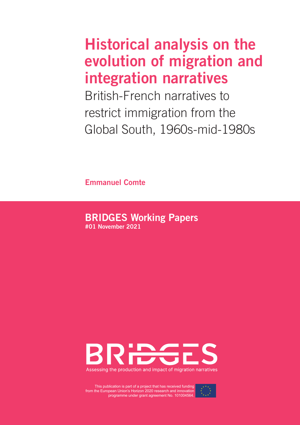# Historical analysis on the evolution of migration and integration narratives

British-French narratives to restrict immigration from the Global South, 1960s-mid-1980s

Emmanuel Comte

# BRIDGES Working Papers

#01 November 2021



This publication is part of a project that has received funding from the European Union's Horizon 2020 research and innovation programme under grant agreement No. 101004564.

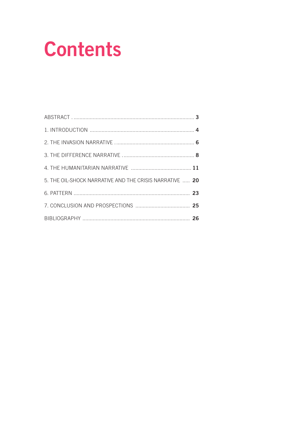# **Contents**

| 5. THE OIL-SHOCK NARRATIVE AND THE CRISIS NARRATIVE  20 |  |
|---------------------------------------------------------|--|
|                                                         |  |
|                                                         |  |
|                                                         |  |
|                                                         |  |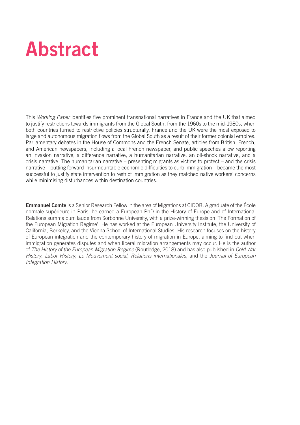# Abstract

This *Working Paper* identifies five prominent transnational narratives in France and the UK that aimed to justify restrictions towards immigrants from the Global South, from the 1960s to the mid-1980s, when both countries turned to restrictive policies structurally. France and the UK were the most exposed to large and autonomous migration flows from the Global South as a result of their former colonial empires. Parliamentary debates in the House of Commons and the French Senate, articles from British, French, and American newspapers, including a local French newspaper, and public speeches allow reporting an invasion narrative, a difference narrative, a humanitarian narrative, an oil-shock narrative, and a crisis narrative. The humanitarian narrative – presenting migrants as victims to protect – and the crisis narrative – putting forward insurmountable economic difficulties to curb immigration – became the most successful to justify state intervention to restrict immigration as they matched native workers' concerns while minimising disturbances within destination countries.

**Emmanuel Comte** is a Senior Research Fellow in the area of Migrations at CIDOB. A graduate of the École normale supérieure in Paris, he earned a European PhD in the History of Europe and of International Relations summa cum laude from Sorbonne University, with a prize-winning thesis on 'The Formation of the European Migration Regime'. He has worked at the European University Institute, the University of California, Berkeley, and the Vienna School of International Studies. His research focuses on the history of European integration and the contemporary history of migration in Europe, aiming to find out when immigration generates disputes and when liberal migration arrangements may occur. He is the author of *The History of the European Migration Regime* (Routledge, 2018) and has also published in *Cold War History*, *Labor History*, *Le Mouvement social, Relations internationales*, and the *Journal of European Integration History*.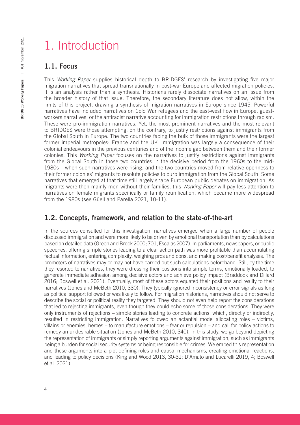# 1. Introduction

### 1.1. Focus

This *Working Paper* supplies historical depth to BRIDGES' research by investigating five major migration narratives that spread transnationally in post-war Europe and affected migration policies. It is an analysis rather than a synthesis. Historians rarely dissociate narratives on an issue from the broader history of that issue. Therefore, the secondary literature does not allow, within the limits of this project, drawing a synthesis of migration narratives in Europe since 1945. Powerful narratives have included narratives on Cold War refugees and the east-west flow in Europe, guestworkers narratives, or the antiracist narrative accounting for immigration restrictions through racism. These were pro-immigration narratives. Yet, the most prominent narratives and the most relevant to BRIDGES were those attempting, on the contrary, to justify restrictions against immigrants from the Global South in Europe. The two countries facing the bulk of those immigrants were the largest former imperial metropoles: France and the UK. Immigration was largely a consequence of their colonial endeavours in the previous centuries and of the income gap between them and their former colonies. This *Working Paper* focuses on the narratives to justify restrictions against immigrants from the Global South in those two countries in the decisive period from the 1960s to the mid-1980s – when such narratives were rising, and the two countries moved from relative openness to their former colonies' migrants to resolute policies to curb immigration from the Global South. Some narratives that emerged at that time still largely shape European public debates on immigration. As migrants were then mainly men without their families, this *Working Paper* will pay less attention to narratives on female migrants specifically or family reunification, which became more widespread from the 1980s (see Güell and Parella 2021, 10-11).

## 1.2. Concepts, framework, and relation to the state-of-the-art

In the sources consulted for this investigation, narratives emerged when a large number of people discussed immigration and were more likely to be driven by emotional transportation than by calculations based on detailed data (Green and Brock 2000; 701, Escalas 2007). In parliaments, newspapers, or public speeches, offering simple stories leading to a clear action path was more profitable than accumulating factual information, entering complexity, weighing pros and cons, and making cost/benefit analyses. The promoters of narratives may or may not have carried out such calculations beforehand. Still, by the time they resorted to narratives, they were dressing their positions into simple terms, emotionally loaded, to generate immediate adhesion among decisive actors and achieve policy impact (Braddock and Dillard 2016; Boswell et al. 2021). Eventually, most of these actors equated their positions and reality to their narratives (Jones and McBeth 2010, 330). They typically ignored inconsistency or error signals as long as political support followed or was likely to follow. For migration historians, narratives should not serve to describe the social or political reality they targeted. They should not even help report the considerations that led to rejecting immigrants, even though they could echo some of those considerations. They were only instruments of rejections – simple stories leading to concrete actions, which, directly or indirectly, resulted in restricting immigration. Narratives followed an actantial model allocating roles – victims, villains or enemies, heroes – to manufacture emotions – fear or repulsion – and call for policy actions to remedy an undesirable situation (Jones and McBeth 2010, 340). In this study, we go beyond depicting the representation of immigrants or simply reporting arguments against immigration, such as immigrants being a burden for social security systems or being responsible for crimes. We embed this representation and these arguments into a plot defining roles and causal mechanisms, creating emotional reactions, and leading to policy decisions (King and Wood 2013, 30-31; D'Amato and Lucarelli 2019, 4; Boswell et al. 2021).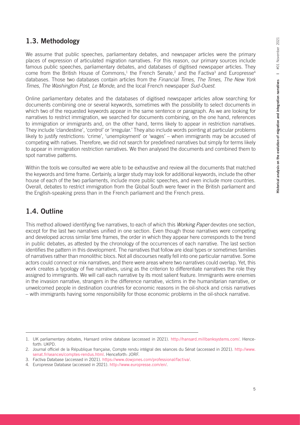### 1.3. Methodology

We assume that public speeches, parliamentary debates, and newspaper articles were the primary places of expression of articulated migration narratives. For this reason, our primary sources include famous public speeches, parliamentary debates, and databases of digitised newspaper articles. They come from the British House of Commons,<sup>1</sup> the French Senate,<sup>2</sup> and the Factiva<sup>3</sup> and Europresse<sup>4</sup> databases. Those two databases contain articles from the *Financial Times, The Times, The New York Times*, *The Washington Post*, *Le Monde*, and the local French newspaper *Sud-Ouest*.

Online parliamentary debates and the databases of digitised newspaper articles allow searching for documents combining one or several keywords, sometimes with the possibility to select documents in which two of the requested keywords appear in the same sentence or paragraph. As we are looking for narratives to restrict immigration, we searched for documents combining, on the one hand, references to immigration or immigrants and, on the other hand, terms likely to appear in restriction narratives. They include 'clandestine', 'control' or 'irregular.' They also include words pointing at particular problems likely to justify restrictions: 'crime', 'unemployment' or 'wages' – when immigrants may be accused of competing with natives. Therefore, we did not search for predefined narratives but simply for terms likely to appear in immigration restriction narratives. We then analysed the documents and combined them to spot narrative patterns.

Within the tools we consulted we were able to be exhaustive and review all the documents that matched the keywords and time frame. Certainly, a larger study may look for additional keywords, include the other house of each of the two parliaments, include more public speeches, and even include more countries. Overall, debates to restrict immigration from the Global South were fewer in the British parliament and the English-speaking press than in the French parliament and the French press.

# 1.4. Outline

This method allowed identifying five narratives, to each of which this *Working Paper* devotes one section, except for the last two narratives unified in one section. Even though those narratives were competing and developed across similar time frames, the order in which they appear here corresponds to the trend in public debates, as attested by the chronology of the occurrences of each narrative. The last section identifies the pattern in this development. The narratives that follow are ideal types or sometimes families of narratives rather than monolithic blocs. Not all discourses neatly fell into one particular narrative. Some actors could connect or mix narratives, and there were areas where two narratives could overlap. Yet, this work creates a typology of five narratives, using as the criterion to differentiate narratives the role they assigned to immigrants. We will call each narrative by its most salient feature. Immigrants were enemies in the invasion narrative, strangers in the difference narrative, victims in the humanitarian narrative, or unwelcomed people in destination countries for economic reasons in the oil-shock and crisis narratives – with immigrants having some responsibility for those economic problems in the oil-shock narrative.

<sup>1.</sup> UK parliamentary debates, Hansard online database (accessed in 2021). <http://hansard.millbanksystems.com/>. Henceforth: UKPD.

<sup>2.</sup> Journal officiel de la République française, Compte rendu intégral des séances du Sénat (accessed in 2021). [http://www.](http://www.senat.fr/seances/comptes-rendus.html) [senat.fr/seances/comptes-rendus.html](http://www.senat.fr/seances/comptes-rendus.html). Henceforth: JORF.

<sup>3.</sup> Factiva Database (accessed in 2021). <https://www.dowjones.com/professional/factiva/>.

<sup>4.</sup> Europresse Database (accessed in 2021). <http://www.europresse.com/en/>.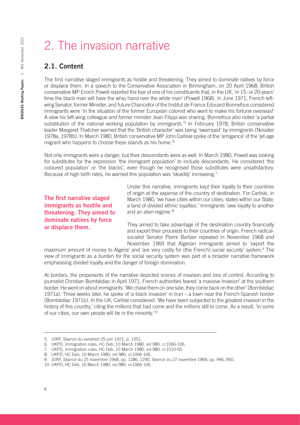# 2. The invasion narrative

# 2.1. Content

The first narrative staged immigrants as hostile and threatening. They aimed to dominate natives by force or displace them. In a speech to the Conservative Association in Birmingham, on 20 April 1968, British conservative MP Enoch Powell reported the fear of one of his constituents that, in the UK, 'in 15- or 20-years' time the black man will have the whip hand over the white man' (Powell 1968). In June 1971, French leftwing Senator, former Minister, and future Chancellor of the Institut de France Edouard Bonnefous considered immigrants were 'in the situation of the former European colonist who went to make his fortune overseas!' A view his left-wing colleague and former minister Jean Filippi was sharing. Bonnefous also noted 'a partial substitution of the national working population by immigrants.<sup>75</sup> In February 1978, British conservative leader Margaret Thatcher warned that the 'British character' was being 'swamped' by immigrants (Nossiter 1978a, 1978b). In March 1980, British conservative MP John Carlisle spoke of the 'arrogance' of the 'jet-age migrant who happens to choose these islands as his home.'6

Not only immigrants were a danger, but their descendants were as well. In March 1980, Powell was looking for substitutes for the expression 'the immigrant population' to include descendants. He considered 'the coloured population' or 'the blacks', even though he recognised those substitutes were unsatisfactory. Because of high birth rates, he warned this population was 'steadily' increasing.<sup>7</sup>

The first narrative staged immigrants as hostile and threatening. They aimed to dominate natives by force or displace them.

Under this narrative, immigrants kept their loyalty to their countries of origin at the expense of the country of destination. For Carlisle, in March 1980, 'we have cities within our cities; states within our State; a land of divided ethnic loyalties.' Immigrants 'owe loyalty to another and an alien regime.'8

They aimed to take advantage of the destination country financially and export their proceeds to their countries of origin. French radicalsocialist Senator Pierre Barbier repeated in November 1968 and November 1969 that Algerian immigrants aimed to 'export the

maximum amount of money to Algeria' and 'are very costly for [the French] social security' system.<sup>9</sup> The view of immigrants as a burden for the social security system was part of a broader narrative framework emphasising divided loyalty and the danger of foreign domination.

At borders, the proponents of the narrative depicted scenes of invasion and loss of control. According to journalist Christian Bombédiac in April 1971, French authorities feared 'a massive invasion' at the southern border. He went on about immigrants: 'We chase them on one side, they come back on the other' (Bombédiac 1971a). Three weeks later, he spoke of 'a black invasion' in Irun – a town near the French-Spanish border (Bombédiac 1971b). In the UK, Carlisle considered: 'We have been subjected to the greatest invasion in the history of this country,' citing the millions that had come and the millions still to come. As a result, 'in some of our cities, our own people will be in the minority.'10

<sup>5.</sup> JORF, Séance du vendredi 25 juin 1971, p. 1351.

<sup>6.</sup> UKPD, Immigration rules, HC Deb, 10 March 1980, vol 980, cc1066-106.

<sup>7.</sup> UKPD, Immigration rules, HC Deb, 10 March 1980, vol 980, cc1010-65.

<sup>8.</sup> UKPD, HC Deb, 10 March 1980, vol 980, cc1066-106.

<sup>9.</sup> JORF, Séance du 25 novembre 1968, pp. 1286, 1290, Séance du 27 novembre 1969, pp. 946, 950.

<sup>10.</sup> UKPD, HC Deb, 10 March 1980, vol 980, cc1066-106.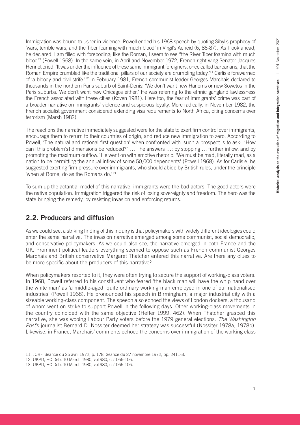Immigration was bound to usher in violence. Powell ended his 1968 speech by quoting Sibyl's prophecy of 'wars, terrible wars, and the Tiber foaming with much blood' in Virgil's Aeneid (6, 86-87). 'As I look ahead, he declared, I am filled with foreboding; like the Roman, I seem to see "the River Tiber foaming with much blood"' (Powell 1968). In the same vein, in April and November 1972, French right-wing Senator Jacques Henriet cried: 'It was under the influence of these same immigrant foreigners, once called barbarians, that the Roman Empire crumbled like the traditional pillars of our society are crumbling today.<sup>'11</sup> Carlisle forewarned of 'a bloody and civil strife.'12 In February 1981, French communist leader Georges Marchais declared to thousands in the northern Paris suburb of Saint-Denis: 'We don't want new Harlems or new Sowetos in the Paris suburbs. We don't want new Chicagos either.' He was referring to the ethnic gangland lawlessness the French associated with these cities (Koven 1981). Here too, the fear of immigrants' crime was part of a broader narrative on immigrants' violence and suspicious loyalty. More radically, in November 1982, the French socialist government considered extending visa requirements to North Africa, citing concerns over terrorism (Marsh 1982).

The reactions the narrative immediately suggested were for the state to exert firm control over immigrants, encourage them to return to their countries of origin, and reduce new immigration to zero. According to Powell, 'The natural and rational first question' when confronted with 'such a prospect is to ask: "How can [this problem's] dimensions be reduced?" … The answers …: by stopping … further inflow, and by promoting the maximum outflow.' He went on with emotive rhetoric: 'We must be mad, literally mad, as a nation to be permitting the annual inflow of some 50,000 dependents' (Powell 1968). As for Carlisle, he suggested exerting firm pressure over immigrants, who should abide by British rules, under the principle 'when at Rome, do as the Romans do.'<sup>13</sup>

To sum up the actantial model of this narrative, immigrants were the bad actors. The good actors were the native population. Immigration triggered the risk of losing sovereignty and freedom. The hero was the state bringing the remedy, by resisting invasion and enforcing returns.

## 2.2. Producers and diffusion

As we could see, a striking finding of this inquiry is that policymakers with widely different ideologies could enter the same narrative. The invasion narrative emerged among some communist, social democratic, and conservative policymakers. As we could also see, the narrative emerged in both France and the UK. Prominent political leaders everything seemed to oppose such as French communist Georges Marchais and British conservative Margaret Thatcher entered this narrative. Are there any clues to be more specific about the producers of this narrative?

When policymakers resorted to it, they were often trying to secure the support of working-class voters. In 1968, Powell referred to his constituent who feared 'the black man will have the whip hand over the white man' as 'a middle-aged, quite ordinary working man employed in one of our nationalised industries' (Powell 1968). He pronounced his speech in Birmingham, a major industrial city with a sizeable working-class component. The speech also echoed the views of London dockers, a thousand of whom went on strike to support Powell in the following days. Other working-class movements in the country coincided with the same objective (Heffer 1999, 462). When Thatcher grasped this narrative, she was wooing Labour Party voters before the 1979 general elections. *The Washington Post*'s journalist Bernard D. Nossiter deemed her strategy was successful (Nossiter 1978a, 1978b). Likewise, in France, Marchais' comments echoed the concerns over immigration of the working class

<sup>11.</sup> JORF, Séance du 25 avril 1972, p. 178, Séance du 27 novembre 1972, pp. 2411-3.

<sup>12.</sup> UKPD, HC Deb, 10 March 1980, vol 980, cc1066-106.

<sup>13.</sup> UKPD, HC Deb, 10 March 1980, vol 980, cc1066-106.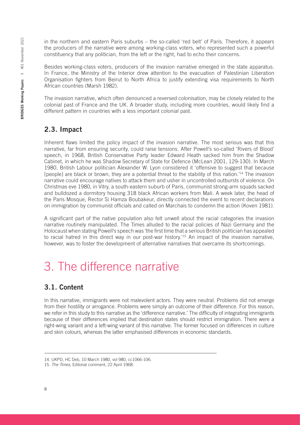in the northern and eastern Paris suburbs – the so-called 'red belt' of Paris. Therefore, it appears the producers of the narrative were among working-class voters, who represented such a powerful constituency that any politician, from the left or the right, had to echo their concerns.

Besides working-class voters, producers of the invasion narrative emerged in the state apparatus. In France, the Ministry of the Interior drew attention to the evacuation of Palestinian Liberation Organisation fighters from Beirut to North Africa to justify extending visa requirements to North African countries (Marsh 1982).

The invasion narrative, which often denounced a reversed colonisation, may be closely related to the colonial past of France and the UK. A broader study, including more countries, would likely find a different pattern in countries with a less important colonial past.

### 2.3. Impact

Inherent flaws limited the policy impact of the invasion narrative. The most serious was that this narrative, far from ensuring security, could raise tensions. After Powell's so-called 'Rivers of Blood' speech, in 1968, British Conservative Party leader Edward Heath sacked him from the Shadow Cabinet, in which he was Shadow Secretary of State for Defence (McLean 2001, 129-130). In March 1980, British Labour politician Alexander W. Lyon considered it 'offensive to suggest that because [people] are black or brown, they are a potential threat to the stability of this nation.<sup>'14</sup> The invasion narrative could encourage natives to attack them and usher in uncontrolled outbursts of violence. On Christmas eve 1980, in Vitry, a south-eastern suburb of Paris, communist strong-arm squads sacked and bulldozed a dormitory housing 318 black African workers from Mali. A week later, the head of the Paris Mosque, Rector Si Hamza Boubakeur, directly connected the event to recent declarations on immigration by communist officials and called on Marchais to condemn the action (Koven 1981).

A significant part of the native population also felt unwell about the racial categories the invasion narrative routinely manipulated. The Times alluded to the racial policies of Nazi Germany and the Holocaust when stating Powell's speech was 'the first time that a serious British politician has appealed to racial hatred in this direct way in our post-war history.'15 An impact of the invasion narrative, however, was to foster the development of alternative narratives that overcame its shortcomings.

# 3. The difference narrative

## 3.1. Content

In this narrative, immigrants were not malevolent actors. They were neutral. Problems did not emerge from their hostility or arrogance. Problems were simply an outcome of their difference. For this reason, we refer in this study to this narrative as the 'difference narrative.' The difficulty of integrating immigrants because of their differences implied that destination states should restrict immigration. There were a right-wing variant and a left-wing variant of this narrative. The former focused on differences in culture and skin colours, whereas the latter emphasised differences in economic standards.

<sup>14.</sup> UKPD, HC Deb, 10 March 1980, vol 980, cc1066-106.

<sup>15.</sup> *The Times*, Editorial comment, 22 April 1968.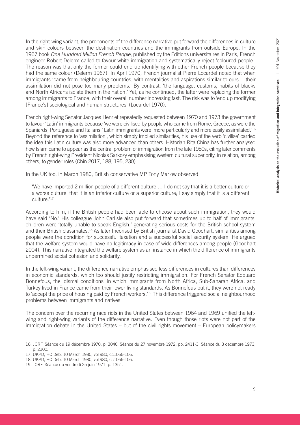In the right-wing variant, the proponents of the difference narrative put forward the differences in culture and skin colours between the destination countries and the immigrants from outside Europe. In the 1967 book *One Hundred Million French People*, published by the Éditions universitaires in Paris, French engineer Robert Delerm called to favour white immigration and systematically reject 'coloured people.' The reason was that only the former could end up identifying with other French people because they had the same colour (Delerm 1967). In April 1970, French journalist Pierre Locardel noted that when immigrants 'came from neighbouring countries, with mentalities and aspirations similar to ours… their assimilation did not pose too many problems.' By contrast, 'the language, customs, habits of blacks and North Africans isolate them in the nation.' Yet, as he continued, the latter were replacing the former among immigrants to France, with their overall number increasing fast. The risk was to 'end up modifying [France's] sociological and human structures' (Locardel 1970).

French right-wing Senator Jacques Henriet repeatedly requested between 1970 and 1973 the government to favour 'Latin' immigrants because 'we were civilised by people who came from Rome, Greece, as were the Spaniards, Portuguese and Italians.' Latin immigrants were 'more particularly and more easily assimilated.'16 Beyond the reference to 'assimilation', which simply implied similarities, his use of the verb 'civilise' carried the idea this Latin culture was also more advanced than others. Historian Rita China has further analysed how Islam came to appear as the central problem of immigration from the late 1980s, citing later comments by French right-wing President Nicolas Sarkozy emphasising western cultural superiority, in relation, among others, to gender roles (Chin 2017, 188, 195, 230).

In the UK too, in March 1980, British conservative MP Tony Marlow observed:

'We have imported 2 million people of a different culture … I do not say that it is a better culture or a worse culture, that it is an inferior culture or a superior culture; I say simply that it is a different culture*.*' 17

According to him, if the British people had been able to choose about such immigration, they would have said 'No.' His colleague John Carlisle also put forward that sometimes up to half of immigrants' children were 'totally unable to speak English,' generating serious costs for the British school system and their British classmates.<sup>18</sup> As later theorised by British journalist David Goodhart, similarities among people were the condition for successful taxation and a successful social security system. He argued that the welfare system would have no legitimacy in case of wide differences among people (Goodhart 2004). This narrative integrated the welfare system as an instance in which the difference of immigrants undermined social cohesion and solidarity.

In the left-wing variant, the difference narrative emphasised less differences in cultures than differences in economic standards, which too should justify restricting immigration. For French Senator Edouard Bonnefous, the 'dismal conditions' in which immigrants from North Africa, Sub-Saharan Africa, and Turkey lived in France came from their lower living standards. As Bonnefous put it, they were not ready to 'accept the price of housing paid by French workers.'<sup>19</sup> This difference triggered social neighbourhood problems between immigrants and natives.

The concern over the recurring race riots in the United States between 1964 and 1969 unified the leftwing and right-wing variants of the difference narrative. Even though those riots were not part of the immigration debate in the United States – but of the civil rights movement – European policymakers

<sup>16.</sup> JORF, Séance du 19 décembre 1970, p. 3046, Séance du 27 novembre 1972, pp. 2411-3, Séance du 3 decembre 1973, p. 2300.

<sup>17.</sup> UKPD, HC Deb, 10 March 1980, vol 980, cc1066-106.

<sup>18.</sup> UKPD, HC Deb, 10 March 1980, vol 980, cc1066-106.

<sup>19.</sup> JORF, Séance du vendredi 25 juin 1971, p. 1351.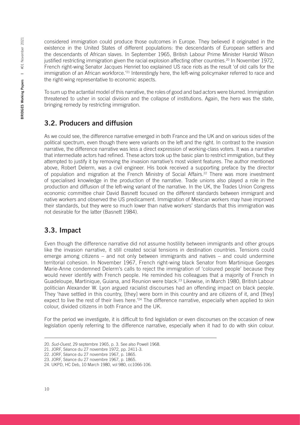considered immigration could produce those outcomes in Europe. They believed it originated in the existence in the United States of different populations: the descendants of European settlers and the descendants of African slaves. In September 1965, British Labour Prime Minister Harold Wilson justified restricting immigration given the racial explosion affecting other countries.<sup>20</sup> In November 1972, French right-wing Senator Jacques Henriet too explained US race riots as the result 'of old calls for the immigration of an African workforce.<sup>'21</sup> Interestingly here, the left-wing policymaker referred to race and the right-wing representative to economic aspects.

To sum up the actantial model of this narrative, the roles of good and bad actors were blurred. Immigration threatened to usher in social division and the collapse of institutions. Again, the hero was the state, bringing remedy by restricting immigration.

## 3.2. Producers and diffusion

As we could see, the difference narrative emerged in both France and the UK and on various sides of the political spectrum, even though there were variants on the left and the right. In contrast to the invasion narrative, the difference narrative was less a direct expression of working-class voters. It was a narrative that intermediate actors had refined. These actors took up the basic plan to restrict immigration, but they attempted to justify it by removing the invasion narrative's most violent features. The author mentioned above, Robert Delerm, was a civil engineer. His book received a supporting preface by the director of population and migration at the French Ministry of Social Affairs.<sup>22</sup> There was more investment of specialised knowledge in the production of the narrative. Trade unions also played a role in the production and diffusion of the left-wing variant of the narrative. In the UK, the Trades Union Congress economic committee chair David Basnett focused on the different standards between immigrant and native workers and observed the US predicament. Immigration of Mexican workers may have improved their standards, but they were so much lower than native workers' standards that this immigration was not desirable for the latter (Basnett 1984).

# 3.3. Impact

Even though the difference narrative did not assume hostility between immigrants and other groups like the invasion narrative, it still created social tensions in destination countries. Tensions could emerge among citizens – and not only between immigrants and natives – and could undermine territorial cohesion. In November 1967, French right-wing black Senator from Martinique Georges Marie-Anne condemned Delerm's calls to reject the immigration of 'coloured people' because they would never identify with French people. He reminded his colleagues that a majority of French in Guadeloupe, Martinique, Guiana, and Reunion were black.23 Likewise, in March 1980, British Labour politician Alexander W. Lyon argued racialist discourses had an offending impact on black people. They 'have settled in this country, [they] were born in this country and are citizens of it, and [they] expect to live the rest of their lives here.<sup>'24</sup> The difference narrative, especially when applied to skin colour, divided citizens in both France and the UK.

For the period we investigate, it is difficult to find legislation or even discourses on the occasion of new legislation openly referring to the difference narrative, especially when it had to do with skin colour.

<sup>20.</sup> *Sud-Ouest*, 29 septembre 1965, p. 3. See also Powell 1968.

<sup>21.</sup> JORF, Séance du 27 novembre 1972, pp. 2411-3.

<sup>22.</sup> JORF, Séance du 27 novembre 1967, p. 1865.

<sup>23.</sup> JORF, Séance du 27 novembre 1967, p. 1865.

<sup>24.</sup> UKPD, HC Deb, 10 March 1980, vol 980, cc1066-106.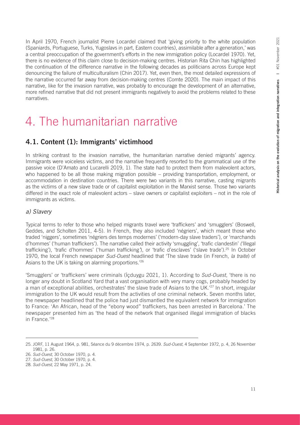In April 1970, French journalist Pierre Locardel claimed that 'giving priority to the white population (Spaniards, Portuguese, Turks, Yugoslavs in part, Eastern countries), assimilable after a generation,' was a central preoccupation of the government's efforts in the new immigration policy (Locardel 1970). Yet, there is no evidence of this claim close to decision-making centres. Historian Rita Chin has highlighted the continuation of the difference narrative in the following decades as politicians across Europe kept denouncing the failure of multiculturalism (Chin 2017). Yet, even then, the most detailed expressions of the narrative occurred far away from decision-making centres (Comte 2020). The main impact of this narrative, like for the invasion narrative, was probably to encourage the development of an alternative, more refined narrative that did not present immigrants negatively to avoid the problems related to these narratives.

# 4. The humanitarian narrative

# 4.1. Content (1): Immigrants' victimhood

In striking contrast to the invasion narrative, the humanitarian narrative denied migrants' agency. Immigrants were voiceless victims, and the narrative frequently resorted to the grammatical use of the passive voice (D'Amato and Lucarelli 2019, 1). The state had to protect them from malevolent actors, who happened to be all those making migration possible – providing transportation, employment, or accommodation in destination countries. There were two variants in this narrative, casting migrants as the victims of a new slave trade or of capitalist exploitation in the Marxist sense. Those two variants differed in the exact role of malevolent actors – slave owners or capitalist exploiters – not in the role of immigrants as victims.

#### *a) Slavery*

Typical terms to refer to those who helped migrants travel were 'traffickers' and 'smugglers' (Boswell, Geddes, and Scholten 2011, 4-5). In French, they also included 'négriers', which meant those who traded 'niggers', sometimes 'négriers des temps modernes' ('modern-day slave traders'), or 'marchands d'hommes' ('human traffickers'). The narrative called their activity 'smuggling', 'trafic clandestin' *('*illegal trafficking'), 'trafic d'hommes' ('human trafficking*'*), or 'trafic d'esclaves' ('slave trade').25 In October 1970, the local French newspaper *Sud-Ouest* headlined that 'The slave trade (in French, *la traite*) of Asians to the UK is taking on alarming proportions.'26

'Smugglers' or 'traffickers' were criminals (İçduygu 2021, 1). According to *Sud-Ouest*, 'there is no longer any doubt in Scotland Yard that a vast organisation with very many cogs, probably headed by a man of exceptional abilities, orchestrates' the slave trade of Asians to the UK.<sup>'27</sup> In short, irregular immigration to the UK would result from the activities of one criminal network. Seven months later, the newspaper headlined that the police had just dismantled the equivalent network for immigration to France: 'An African, head of the "ebony wood" traffickers, has been arrested in Barcelona.' The newspaper presented him as 'the head of the network that organised illegal immigration of blacks in France.'28

<sup>25.</sup> JORF, 11 August 1964, p. 981, Séance du 9 décembre 1974, p. 2639. *Sud-Ouest*, 4 September 1972, p. 4, 26 November 1981, p. 26.

<sup>26.</sup> *Sud-Ouest*, 30 October 1970, p. 4.

<sup>27.</sup> *Sud-Ouest*, 30 October 1970, p. 4.

<sup>28.</sup> *Sud-Ouest*, 22 May 1971, p. 24.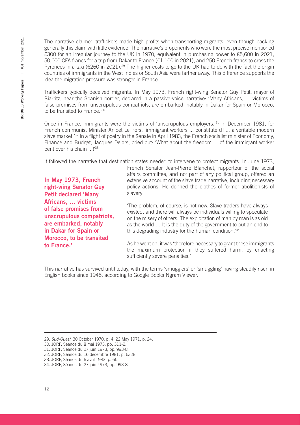The narrative claimed traffickers made high profits when transporting migrants, even though backing generally this claim with little evidence. The narrative's proponents who were the most precise mentioned £300 for an irregular journey to the UK in 1970, equivalent in purchasing power to €5,600 in 2021, 50,000 CFA francs for a trip from Dakar to France (€1,100 in 2021), and 250 French francs to cross the Pyrenees in a taxi (€260 in 2021).29 The higher costs to go to the UK had to do with the fact the origin countries of immigrants in the West Indies or South Asia were farther away. This difference supports the idea the migration pressure was stronger in France.

Traffickers typically deceived migrants. In May 1973, French right-wing Senator Guy Petit, mayor of Biarritz, near the Spanish border, declared in a passive-voice narrative: 'Many Africans, … victims of false promises from unscrupulous compatriots, are embarked, notably in Dakar for Spain or Morocco, to be transited to France.'30

Once in France, immigrants were the victims of 'unscrupulous employers.'31 In December 1981, for French communist Minister Anicet Le Pors, 'immigrant workers ... constitute[d] ... a veritable modern slave market.'32 In a flight of poetry in the Senate in April 1983, the French socialist minister of Economy, Finance and Budget, Jacques Delors, cried out: 'What about the freedom ... of the immigrant worker bent over his chain ...!'33

It followed the narrative that destination states needed to intervene to protect migrants. In June 1973,

In May 1973, French right-wing Senator Guy Petit declared 'Many Africans, … victims of false promises from unscrupulous compatriots, are embarked, notably in Dakar for Spain or Morocco, to be transited to France.'

French Senator Jean-Pierre Blanchet, rapporteur of the social affairs committee, and not part of any political group, offered an extensive account of the slave trade narrative, including necessary policy actions. He donned the clothes of former abolitionists of slavery:

'The problem, of course, is not new. Slave traders have always existed, and there will always be individuals willing to speculate on the misery of others. The exploitation of man by man is as old as the world … It is the duty of the government to put an end to this degrading industry for the human condition.'34

As he went on, it was 'therefore necessary to grant these immigrants the maximum protection if they suffered harm, by enacting sufficiently severe penalties.'

This narrative has survived until today, with the terms 'smugglers' or 'smuggling' having steadily risen in English books since 1945, according to Google Books Ngram Viewer.

<sup>29.</sup> *Sud-Ouest*, 30 October 1970, p. 4, 22 May 1971, p. 24.

<sup>30.</sup> JORF, Séance du 8 mai 1973, pp. 311-2.

<sup>31.</sup> JORF, Séance du 27 juin 1973, pp. 993-8.

<sup>32.</sup> JORF, Séance du 16 décembre 1981, p. 6328.

<sup>33.</sup> JORF, Séance du 6 avril 1983, p. 65.

<sup>34.</sup> JORF, Séance du 27 juin 1973, pp. 993-8.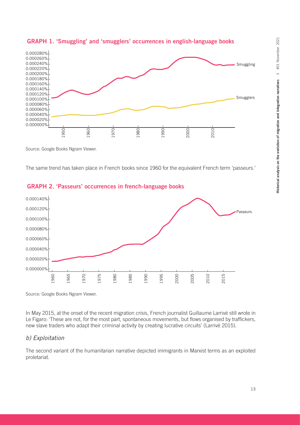

#### GRAPH 1. 'Smuggling' and 'smugglers' occurrences in english-language books

Source: Google Books Ngram Viewer.

The same trend has taken place in French books since 1960 for the equivalent French term 'passeurs.'



#### GRAPH 2. 'Passeurs' occurrences in french-language books

Source: Google Books Ngram Viewer.

In May 2015, at the onset of the recent migration crisis, French journalist Guillaume Larrivé still wrote in Le Figaro: 'These are not, for the most part, spontaneous movements, but flows organised by traffickers, new slave traders who adapt their criminal activity by creating lucrative circuits' (Larrivé 2015).

#### *b) Exploitation*

The second variant of the humanitarian narrative depicted immigrants in Marxist terms as an exploited proletariat.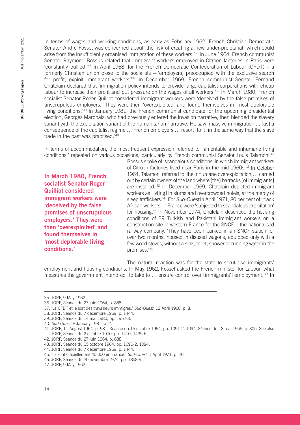In terms of wages and working conditions, as early as February 1962, French Christian Democratic Senator André Fosset was concerned about 'the risk of creating a new under-proletariat, which could arise from the insufficiently organised immigration of these workers.<sup>35</sup> In June 1964, French communist Senator Raymond Bossus related that immigrant workers employed in Citroën factories in Paris were 'constantly bullied.'36 In April 1968, for the French Democratic Confederation of Labour (CFDT) – a formerly Christian union close to the socialists – 'employers, preoccupied with the exclusive search for profit, exploit immigrant workers.'37 In December 1969, French communist Senator Fernand Châtelain declared that 'immigration policy intends to provide large capitalist corporations with cheap labour to increase their profit and put pressure on the wages of all workers.<sup>'38</sup> In March 1980, French socialist Senator Roger Quilliot considered immigrant workers were 'deceived by the false promises of unscrupulous employers.' They were then 'overexploited' and found themselves in 'most deplorable living conditions.'39 In January 1981, the French communist candidate for the upcoming presidential election, Georges Marchais, who had previously entered the invasion narrative, then blended the slavery variant with the exploitation variant of the humanitarian narrative. He saw 'massive immigration ... [as] a consequence of the capitalist regime … French employers … resort [to it] in the same way that the slave trade in the past was practised.'40

In terms of accommodation, the most frequent expression referred to 'lamentable and inhumane living conditions,' repeated on various occasions, particularly by French communist Senator Louis Talamoni.41

In March 1980, French socialist Senator Roger Quilliot considered immigrant workers were 'deceived by the false promises of unscrupulous employers.' They were then 'overexploited' and found themselves in 'most deplorable living conditions.'

Bossus spoke of 'scandalous conditions' in which immigrant workers of Citroën factories lived near Paris in the mid-1960s.<sup>42</sup> In October 1964, Talamoni referred to 'the inhumane overexploitation … carried out by certain owners of the land where [the] barracks [of immigrants] are installed.'43 In December 1969, Châtelain depicted immigrant workers as 'liv[ing] in slums and overcrowded hotels, at the mercy of sleep traffickers.'44 For *Sud-Ouest* in April 1971, 80 per cent of 'black African workers' in France were 'subjected to scandalous exploitation' for housing.45 In November 1974, Châtelain described the housing conditions of 39 Turkish and Pakistani immigrant workers on a construction site in western France for the SNCF – the nationalised railway company. 'They have been parked in an SNCF station for over two months, housed in disused wagons, equipped only with a few wood stoves, without a sink, toilet, shower or running water in the premises.'46

The natural reaction was for the state to scrutinise immigrants' employment and housing conditions. In May 1962, Fosset asked the French minister for Labour 'what measures the government intend[ed] to take to … ensure control over [immigrants'] employment.'47 In

<sup>35.</sup> JORF, 9 May 1962.

<sup>36.</sup> JORF, Séance du 27 juin 1964, p. 888

<sup>37.</sup> 'La CFDT et le sort des travailleurs immigrés.' *Sud-Ouest*, 12 April 1968, p. 8.

<sup>38.</sup> JORF, Séance du 7 décembre 1969, p. 1444.

<sup>39.</sup> JORF, Séance du 14 mai 1980, pp. 1952-3.

<sup>40.</sup> *Sud-Ouest*, 8 January 1981, p. 2.

<sup>41.</sup> JORF, 11 August 1964, p. 981, Séance du 15 octobre 1964, pp. 1091-2, 1094, Séance du 18 mai 1965, p. 305. See also JORF, Séance du 2 octobre 1970, pp. 1410, 1435-6.

<sup>42.</sup> JORF, Séance du 27 juin 1964, p. 888.

<sup>43.</sup> JORF, Séance du 15 octobre 1964, pp. 1091-2, 1094.

<sup>44.</sup> JORF, Séance du 7 décembre 1969, p. 1444.

<sup>45.</sup> 'Ils sont officiellement 40 000 en France.' *Sud-Ouest*, 1 April 1971, p. 20.

<sup>46.</sup> JORF, Séance du 20 novembre 1974, pp. 1858-9

<sup>47.</sup> JORF, 9 May 1962.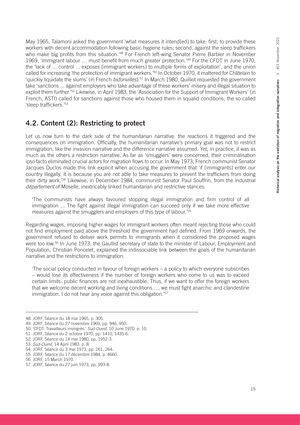May 1965, Talamoni asked the government 'what measures it intend[ed] to take: first, to provide these workers with decent accommodation following basic hygiene rules; second, against the sleep traffickers who make big profits from this situation.<sup>'48</sup> For French left-wing Senator Pierre Barbier in November 1969, 'immigrant labour … must benefit from much greater protection.'49 For the CFDT in June 1970, the 'lack of ... control ... exposes [immigrant workers] to multiple forms of exploitation', and the union called for increasing 'the protection of immigrant workers.'<sup>50</sup> In October 1970, it mattered for Châtelain to 'quickly liquidate the slums' (in French *bidonvilles*).51 In March 1980, Quilliot requested the government take 'sanctions ... against employers who take advantage of these workers' misery and illegal situation to exploit them further.'52 Likewise, in April 1983, the 'Association for the Support of Immigrant Workers' (in French, ASTI) called for sanctions against those who housed them in squalid conditions, the so-called 'sleep traffickers.'53

# 4.2. Content (2): Restricting to protect

Let us now turn to the dark side of the humanitarian narrative: the reactions it triggered and the consequences on immigration. Officially, the humanitarian narrative's primary goal was not to restrict immigration, like the invasion narrative and the difference narrative assumed. Yet, in practice, it was as much as the others a restriction narrative. As far as 'smugglers' were concerned, their criminalisation ipso facto eliminated crucial actors for migration flows to occur. In May 1973, French communist Senator Jacques Duclos made this link explicit when accusing the government that 'if [immigrants] enter our country illegally, it is because you are not able to take measures to prevent the traffickers from doing their dirty work.'54 Likewise, in December 1984, communist Senator Paul Souffrin, from the industrial *département* of Moselle, inextricably linked humanitarian and restrictive stances:

'The communists have always favoured stopping illegal immigration and firm control of all immigration ... The fight against illegal immigration can succeed only if we take more effective measures against the smugglers and employers of this type of labour.'55

Regarding wages, imposing higher wages for immigrant workers often meant rejecting those who could not find employment paid above the threshold the government had defined. From 1969 onwards, the government refused to deliver work permits to immigrants when it considered the proposed wages were too low.<sup>56</sup> In June 1973, the Gaullist secretary of state to the minister of Labour, Employment and Population, Christian Poncelet, explained the indissociable link between the goals of the humanitarian narrative and the restrictions to immigration:

'The social policy conducted in favour of foreign workers – a policy to which everyone subscribes – would lose its effectiveness if the number of foreign workers who come to us was to exceed certain limits: public finances are not inexhaustible. Thus, if we want to offer the foreign workers that we welcome decent working and living conditions ..., we must fight anarchic and clandestine immigration. I do not hear any voice against this obligation.'<sup>57</sup>

<sup>48.</sup> JORF, Séance du 18 mai 1965, p. 305.

<sup>49.</sup> JORF, Séance du 27 novembre 1969, pp. 946, 950.

<sup>50.</sup> 'CFDT: Travailleurs immigrés.' *Sud-Ouest*, 10 June 1970, p. 10.

<sup>51.</sup> JORF, Séance du 2 octobre 1970, pp. 1410, 1435-6.

<sup>52.</sup> JORF, Séance du 14 mai 1980, pp. 1952-3.

<sup>53.</sup> *Sud-Ouest*, 14 April 1983, p. 8.

<sup>54.</sup> JORF, Séance du 3 mai 1973, pp. 261, 264.

<sup>55.</sup> JORF, Séance du 17 décembre 1984, p. 4660.

<sup>56.</sup> JORF, 15 March 1970.

<sup>57.</sup> JORF, Séance du 27 juin 1973, pp. 993-8.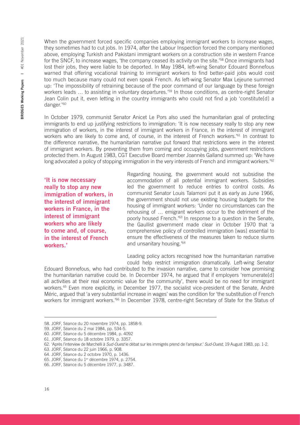2021 BRIDGES Working Papers | #01 November 2021 #01 November **SRIDGES Working Papers** |

When the government forced specific companies employing immigrant workers to increase wages, they sometimes had to cut jobs. In 1974, after the Labour Inspection forced the company mentioned above, employing Turkish and Pakistani immigrant workers on a construction site in western France for the SNCF, to increase wages, 'the company ceased its activity on the site.'58 Once immigrants had lost their jobs, they were liable to be deported. In May 1984, left-wing Senator Edouard Bonnefous warned that offering vocational training to immigrant workers to find better-paid jobs would cost too much because many could not even speak French. As left-wing Senator Max Lejeune summed up: 'The impossibility of retraining because of the poor command of our language by these foreign workers leads ... to assisting in voluntary departures.'<sup>59</sup> In those conditions, as centre-right Senator Jean Colin put it, even letting in the country immigrants who could not find a job 'constitute[d] a danger.'60

In October 1979, communist Senator Anicet Le Pors also used the humanitarian goal of protecting immigrants to end up justifying restrictions to immigration: 'It is now necessary really to stop any new immigration of workers, in the interest of immigrant workers in France, in the interest of immigrant workers who are likely to come and, of course, in the interest of French workers.<sup>'61</sup> In contrast to the difference narrative, the humanitarian narrative put forward that restrictions were in the interest of immigrant workers. By preventing them from coming and occupying jobs, government restrictions protected them. In August 1983, CGT Executive Board member Joannès Galland summed up: 'We have long advocated a policy of stopping immigration in the very interests of French and immigrant workers.<sup>'62</sup>

'It is now necessary really to stop any new immigration of workers, in the interest of immigrant workers in France, in the interest of immigrant workers who are likely to come and, of course, in the interest of French workers.'

Regarding housing, the government would not subsidise the accommodation of all potential immigrant workers. Subsidies led the government to reduce entries to control costs. As communist Senator Louis Talamoni put it as early as June 1966, the government should not use existing housing budgets for the housing of immigrant workers: 'Under no circumstances can the rehousing of … emigrant workers occur to the detriment of the poorly housed French.'63 In response to a question in the Senate, the Gaullist government made clear in October 1970 that 'a comprehensive policy of controlled immigration [was] essential to ensure the effectiveness of the measures taken to reduce slums and unsanitary housing.'64

Leading policy actors recognised how the humanitarian narrative could help restrict immigration dramatically. Left-wing Senator

Edouard Bonnefous, who had contributed to the invasion narrative, came to consider how promising the humanitarian narrative could be. In December 1974, he argued that if employers 'remunerate[d] all activities at their real economic value for the community', there would be no need for immigrant workers.<sup>65</sup> Even more explicitly, in December 1977, the socialist vice-president of the Senate, André Méric, argued that 'a very substantial increase in wages' was the condition for 'the substitution of French workers for immigrant workers.<sup>766</sup> In December 1978, centre-right Secretary of State for the Status of

<sup>58.</sup> JORF, Séance du 20 novembre 1974, pp. 1858-9.

<sup>59.</sup> JORF, Séance du 2 mai 1984, pp. 534-5.

<sup>60.</sup> JORF, Séance du 5 décembre 1984, p. 4092

<sup>61.</sup> JORF, Séance du 18 octobre 1979, p. 3357.

<sup>62.</sup> 'Après l'interview de Marchelli à *Sud-Ouest* le débat sur les immigrés prend de l'ampleur.' *Sud-Ouest*, 19 August 1983, pp. 1-2.

<sup>63.</sup> JORF, Séance du 22 juin 1966, p. 908.

<sup>64.</sup> JORF, Séance du 2 octobre 1970, p. 1436.

<sup>65.</sup> JORF, Séance du 1<sup>er</sup> décembre 1974, p. 2754.

<sup>66.</sup> JORF, Séance du 5 décembre 1977, p. 3487.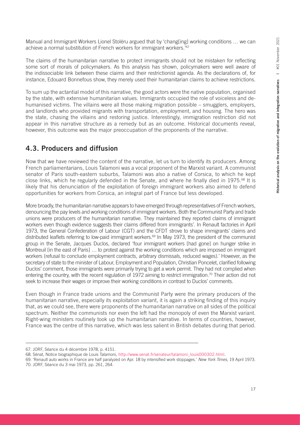Manual and Immigrant Workers Lionel Stoléru argued that by 'chang[ing] working conditions … we can achieve a normal substitution of French workers for immigrant workers.'67

The claims of the humanitarian narrative to protect immigrants should not be mistaken for reflecting some sort of morals of policymakers. As this analysis has shown, policymakers were well aware of the indissociable link between these claims and their restrictionist agenda. As the declarations of, for instance, Edouard Bonnefous show, they merely used their humanitarian claims to achieve restrictions.

To sum up the actantial model of this narrative, the good actors were the native population, organised by the state, with extensive humanitarian values. Immigrants occupied the role of voiceless and dehumanised victims. The villains were all those making migration possible – smugglers, employers, and landlords who provided migrants with transportation, employment, and housing. The hero was the state, chasing the villains and restoring justice. Interestingly, immigration restriction did not appear in this narrative structure as a remedy but as an outcome. Historical documents reveal, however, this outcome was the major preoccupation of the proponents of the narrative.

## 4.3. Producers and diffusion

Now that we have reviewed the content of the narrative, let us turn to identify its producers. Among French parliamentarians, Louis Talamoni was a vocal proponent of the Marxist variant. A communist senator of Paris south-eastern suburbs, Talamoni was also a native of Corsica, to which he kept close links, which he regularly defended in the Senate, and where he finally died in 1975.<sup>68</sup> It is likely that his denunciation of the exploitation of foreign immigrant workers also aimed to defend opportunities for workers from Corsica, an integral part of France but less developed.

More broadly, the humanitarian narrative appears to have emerged through representatives of French workers, denouncing the pay levels and working conditions of immigrant workers. Both the Communist Party and trade unions were producers of the humanitarian narrative. They maintained they reported claims of immigrant workers even though evidence suggests their claims differed from immigrants'. In Renault factories in April 1973, the General Confederation of Labour (CGT) and the CFDT strove to shape immigrants' claims and distributed leaflets referring to low-paid immigrant workers.<sup>69</sup> In May 1973, the president of the communist group in the Senate, Jacques Duclos, declared 'four immigrant workers [had gone] on hunger strike in Montreuil [in the east of Paris] … to protest against the working conditions which are imposed on immigrant workers (refusal to conclude employment contracts, arbitrary dismissals, reduced wages).' However, as the secretary of state to the minister of Labour, Employment and Population, Christian Poncelet, clarified following Duclos' comment, those immigrants were primarily trying to get a work permit. They had not complied when entering the country, with the recent regulation of 1972 aiming to restrict immigration.<sup>70</sup> Their action did not seek to increase their wages or improve their working conditions in contrast to Duclos' comments.

Even though in France trade unions and the Communist Party were the primary producers of the humanitarian narrative, especially its exploitation variant, it is again a striking finding of this inquiry that, as we could see, there were proponents of the humanitarian narrative on all sides of the political spectrum. Neither the communists nor even the left had the monopoly of even the Marxist variant. Right-wing ministers routinely took up the humanitarian narrative. In terms of countries, however, France was the centre of this narrative, which was less salient in British debates during that period.

<sup>67.</sup> JORF, Séance du 4 décembre 1978, p. 4151.

<sup>68.</sup> Sénat, Notice biographique de Louis Talamoni, [http://www.senat.fr/senateur/talamoni\\_louis000302.html](http://www.senat.fr/senateur/talamoni_louis000302.html).

<sup>69.</sup> 'Renault auto works in France are half paralyzed on Apr. 18 by intensified work stoppages.' *New York Times*, 19 April 1973. 70. JORF, Séance du 3 mai 1973, pp. 261, 264.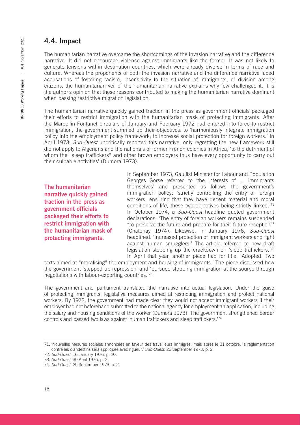### 4.4. Impact

The humanitarian narrative overcame the shortcomings of the invasion narrative and the difference narrative. It did not encourage violence against immigrants like the former. It was not likely to generate tensions within destination countries, which were already diverse in terms of race and culture. Whereas the proponents of both the invasion narrative and the difference narrative faced accusations of fostering racism, insensitivity to the situation of immigrants, or division among citizens, the humanitarian veil of the humanitarian narrative explains why few challenged it. It is the author's opinion that those reasons contributed to making the humanitarian narrative dominant when passing restrictive migration legislation.

The humanitarian narrative quickly gained traction in the press as government officials packaged their efforts to restrict immigration with the humanitarian mask of protecting immigrants. After the Marcellin-Fontanet circulars of January and February 1972 had entered into force to restrict immigration, the government summed up their objectives: to 'harmoniously integrate immigration policy into the employment policy framework; to increase social protection for foreign workers.' In April 1973, *Sud-Ouest* uncritically reported this narrative, only regretting the new framework still did not apply to Algerians and the nationals of former French colonies in Africa, 'to the detriment of whom the "sleep traffickers" and other brown employers thus have every opportunity to carry out their culpable activities' (Dumora 1973).

The humanitarian narrative quickly gained traction in the press as government officials packaged their efforts to restrict immigration with the humanitarian mask of protecting immigrants.

In September 1973, Gaullist Minister for Labour and Population Georges Gorse referred to 'the interests of … immigrants themselves' and presented as follows the government's immigration policy: 'strictly controlling the entry of foreign workers, ensuring that they have decent material and moral conditions of life, these two objectives being strictly linked.'71 In October 1974, a *Sud-Ouest* headline quoted government declarations: 'The entry of foreign workers remains suspended "to preserve the future and prepare for their future reception"' (Chatenay 1974). Likewise, in January 1976, *Sud-Ouest* headlined: 'Increased protection of immigrant workers and fight against human smugglers.' The article referred to new draft legislation stepping up the crackdown on 'sleep traffickers.'72 In April that year, another piece had for title: 'Adopted: Two

texts aimed at "moralising" the employment and housing of immigrants.' The piece discussed how the government 'stepped up repression' and 'pursued stopping immigration at the source through negotiations with labour-exporting countries.'73

The government and parliament translated the narrative into actual legislation. Under the guise of protecting immigrants, legislative measures aimed at restricting immigration and protect national workers. By 1972, the government had made clear they would not accept immigrant workers if their employer had not beforehand submitted to the national agency for employment an application, including the salary and housing conditions of the worker (Dumora 1973). The government strengthened border controls and passed two laws against 'human traffickers and sleep traffickers.'74

<sup>71.</sup> 'Nouvelles mesures sociales annoncées en faveur des travailleurs immigrés, mais après le 31 octobre, la réglementation contre les clandestins sera appliquée avec rigueur.' *Sud-Ouest*, 25 September 1973, p. 2.

<sup>72.</sup> *Sud-Ouest*, 16 January 1976, p. 20.

<sup>73.</sup> *Sud-Ouest*, 30 April 1976, p. 2.

<sup>74.</sup> *Sud-Ouest*, 25 September 1973, p. 2.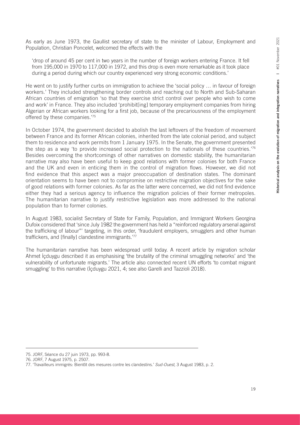As early as June 1973, the Gaullist secretary of state to the minister of Labour, Employment and Population, Christian Poncelet, welcomed the effects with the

'drop of around 45 per cent in two years in the number of foreign workers entering France. It fell from 195,000 in 1970 to 117,000 in 1972, and this drop is even more remarkable as it took place during a period during which our country experienced very strong economic conditions.'

He went on to justify further curbs on immigration to achieve the 'social policy … in favour of foreign workers.' They included strengthening border controls and reaching out to North and Sub-Saharan African countries of emigration 'so that they exercise strict control over people who wish to come and work' in France. They also included 'prohibit[ing] temporary employment companies from hiring Algerian or African workers looking for a first job, because of the precariousness of the employment offered by these companies.'75

In October 1974, the government decided to abolish the last leftovers of the freedom of movement between France and its former African colonies, inherited from the late colonial period, and subject them to residence and work permits from 1 January 1975. In the Senate, the government presented the step as a way 'to provide increased social protection to the nationals of these countries.'76 Besides overcoming the shortcomings of other narratives on domestic stability, the humanitarian narrative may also have been useful to keep good relations with former colonies for both France and the UK and even in enticing them in the control of migration flows. However, we did not find evidence that this aspect was a major preoccupation of destination states. The dominant orientation seems to have been not to compromise on restrictive migration objectives for the sake of good relations with former colonies. As far as the latter were concerned, we did not find evidence either they had a serious agency to influence the migration policies of their former metropoles. The humanitarian narrative to justify restrictive legislation was more addressed to the national population than to former colonies.

In August 1983, socialist Secretary of State for Family, Population, and Immigrant Workers Georgina Dufoix considered that 'since July 1982 the government has held a "reinforced regulatory arsenal against the trafficking of labour"' targeting, in this order, 'fraudulent employers, smugglers and other human traffickers, and [finally] clandestine immigrants.'77

The humanitarian narrative has been widespread until today. A recent article by migration scholar Ahmet İçduygu described it as emphasising 'the brutality of the criminal smuggling networks' and 'the vulnerability of unfortunate migrants.' The article also connected recent UN efforts 'to combat migrant smuggling' to this narrative (İçduygu 2021, 4; see also Garelli and Tazzioli 2018).

<sup>75.</sup> JORF, Séance du 27 juin 1973, pp. 993-8.

<sup>76.</sup> JORF, 7 August 1975, p. 2507.

<sup>77.</sup> 'Travailleurs immigrés: Bientôt des mesures contre les clandestins.' *Sud-Ouest*, 3 August 1983, p. 2.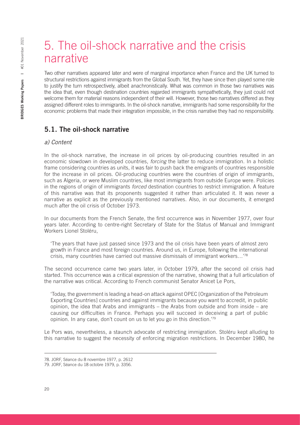# 5. The oil-shock narrative and the crisis narrative

Two other narratives appeared later and were of marginal importance when France and the UK turned to structural restrictions against immigrants from the Global South. Yet, they have since then played some role to justify the turn retrospectively, albeit anachronistically. What was common in those two narratives was the idea that, even though destination countries regarded immigrants sympathetically, they just could not welcome them for material reasons independent of their will. However, those two narratives differed as they assigned different roles to immigrants. In the oil-shock narrative, immigrants had some responsibility for the economic problems that made their integration impossible, in the crisis narrative they had no responsibility.

## 5.1. The oil-shock narrative

#### *a) Content*

In the oil-shock narrative, the increase in oil prices by oil-producing countries resulted in an economic slowdown in developed countries, *forcing* the latter to reduce immigration. In a holistic frame considering countries as units, it was fair to push back the emigrants of countries responsible for the increase in oil prices. Oil-producing countries were the countries of origin of immigrants, such as Algeria, or were Muslim countries, like most immigrants from outside Europe were. Policies in the regions of origin of immigrants *forced* destination countries to restrict immigration. A feature of this narrative was that its proponents suggested it rather than articulated it. It was never a narrative as explicit as the previously mentioned narratives. Also, in our documents, it emerged much after the oil crisis of October 1973.

In our documents from the French Senate, the first occurrence was in November 1977, over four years later. According to centre-right Secretary of State for the Status of Manual and Immigrant Workers Lionel Stoléru,

'The years that have just passed since 1973 and the oil crisis have been years of almost zero growth in France and most foreign countries. Around us, in Europe, following the international crisis, many countries have carried out massive dismissals of immigrant workers…'78

The second occurrence came two years later, in October 1979, after the second oil crisis had started. This occurrence was a critical expression of the narrative, showing that a full articulation of the narrative was critical. According to French communist Senator Anicet Le Pors,

'Today, the government is leading a head-on attack against OPEC [Organization of the Petroleum Exporting Countries] countries and against immigrants because you want to accredit, in public opinion, the idea that Arabs and immigrants – the Arabs from outside and from inside – are causing our difficulties in France. Perhaps you will succeed in deceiving a part of public opinion. In any case, don't count on us to let you go in this direction.'79

Le Pors was, nevertheless, a staunch advocate of restricting immigration. Stoléru kept alluding to this narrative to suggest the necessity of enforcing migration restrictions. In December 1980, he

<sup>78.</sup> JORF, Séance du 8 novembre 1977, p. 2612

<sup>79.</sup> JORF, Séance du 18 octobre 1979, p. 3356.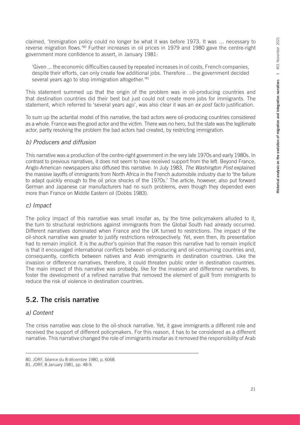claimed, 'Immigration policy could no longer be what it was before 1973. It was … necessary to reverse migration flows.'80 Further increases in oil prices in 1979 and 1980 gave the centre-right government more confidence to assert, in January 1981:

'Given ... the economic difficulties caused by repeated increases in oil costs, French companies, despite their efforts, can only create few additional jobs. Therefore ... the government decided several years ago to stop immigration altogether.<sup>'81</sup>

This statement summed up that the origin of the problem was in oil-producing countries and that destination countries did their best but just could not create more jobs for immigrants. The statement, which referred to 'several years ago', was also clear it was an *ex post facto* justification.

To sum up the actantial model of this narrative, the bad actors were oil-producing countries considered as a whole. France was the good actor and the victim. There was no hero, but the state was the legitimate actor, partly resolving the problem the bad actors had created, by restricting immigration.

#### *b) Producers and diffusion*

This narrative was a production of the centre-right government in the very late 1970s and early 1980s. In contrast to previous narratives, it does not seem to have received support from the left. Beyond France, Anglo-American newspapers also diffused this narrative. In July 1983, *The Washington Post* explained the massive layoffs of immigrants from North Africa in the French automobile industry due to 'the failure to adapt quickly enough to the oil price shocks of the 1970s.' The article, however, also put forward German and Japanese car manufacturers had no such problems, even though they depended even more than France on Middle Eastern oil (Dobbs 1983).

#### *c) Impact*

The policy impact of this narrative was small insofar as, by the time policymakers alluded to it, the turn to structural restrictions against immigrants from the Global South had already occurred. Different narratives dominated when France and the UK turned to restrictions. The impact of the oil-shock narrative was greater to justify restrictions retrospectively. Yet, even then, its presentation had to remain implicit. It is the author's opinion that the reason this narrative had to remain implicit is that it encouraged international conflicts between oil-producing and oil-consuming countries and, consequently, conflicts between natives and Arab immigrants in destination countries. Like the invasion or difference narratives, therefore, it could threaten public order in destination countries. The main impact of this narrative was probably, like for the invasion and difference narratives, to foster the development of a refined narrative that removed the element of guilt from immigrants to reduce the risk of violence in destination countries.

### 5.2. The crisis narrative

#### *a) Content*

The crisis narrative was close to the oil-shock narrative. Yet, it gave immigrants a different role and received the support of different policymakers. For this reason, it has to be considered as a different narrative. This narrative changed the role of immigrants insofar as it removed the responsibility of Arab

<sup>80.</sup> JORF, Séance du 8 décembre 1980, p. 6068.

<sup>81.</sup> JORF, 8 January 1981, pp. 48-9.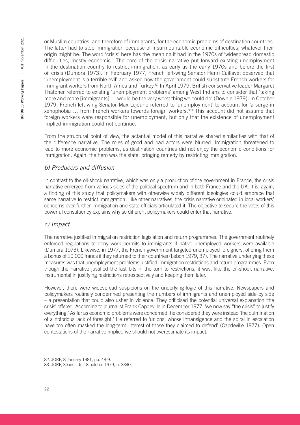or Muslim countries, and therefore of immigrants, for the economic problems of destination countries. The latter had to stop immigration because of insurmountable economic difficulties, whatever their origin might be. The word 'crisis' here has the meaning it had in the 1970s of 'widespread domestic difficulties, mostly economic.' The core of the crisis narrative put forward existing unemployment in the destination country to restrict immigration, as early as the early 1970s and before the first oil crisis (Dumora 1973). In February 1977, French left-wing Senator Henri Caillavet observed that 'unemployment is a terrible evil' and asked how the government could substitute French workers for immigrant workers from North Africa and Turkey.<sup>82</sup> In April 1979, British conservative leader Margaret Thatcher referred to existing 'unemployment problems' among West Indians to consider that 'taking more and more [immigrants] … would be the very worst thing we could do' (Downie 1979). In October 1979, French left-wing Senator Max Lejeune referred to 'unemployment' to account for 'a surge in xenophobia … from French workers towards foreign workers.'83 This account did not assume that foreign workers were responsible for unemployment, but only that the existence of unemployment implied immigration could not continue.

From the structural point of view, the actantial model of this narrative shared similarities with that of the difference narrative. The roles of good and bad actors were blurred. Immigration threatened to lead to more economic problems, as destination countries did not enjoy the economic conditions for immigration. Again, the hero was the state, bringing remedy by restricting immigration.

#### *b) Producers and diffusion*

In contrast to the oil-shock narrative, which was only a production of the government in France, the crisis narrative emerged from various sides of the political spectrum and in both France and the UK. It is, again, a finding of this study that policymakers with otherwise widely different ideologies could embrace that same narrative to restrict immigration. Like other narratives, the crisis narrative originated in local workers' concerns over further immigration and state officials articulated it. The objective to secure the votes of this powerful constituency explains why so different policymakers could enter that narrative.

#### *c) Impact*

The narrative justified immigration restriction legislation and return programmes. The government routinely enforced regulations to deny work permits to immigrants if native unemployed workers were available (Dumora 1973). Likewise, in 1977, the French government targeted unemployed foreigners, offering them a bonus of 10,000 francs if they returned to their countries (Lebon 1979, 37). The narrative underlying these measures was that unemployment problems justified immigration restrictions and return programmes. Even though the narrative justified the last bits in the turn to restrictions, it was, like the oil-shock narrative, instrumental in justifying restrictions retrospectively and keeping them later.

However, there were widespread suspicions on the underlying logic of this narrative. Newspapers and policymakers routinely condemned presenting the numbers of immigrants and unemployed side by side – a presentation that could also usher in violence. They criticised the potential universal explanation 'the crisis' offered. According to journalist Frank Capdeville in December 1977, 'we now say "the crisis" to justify everything.' As far as economic problems were concerned, he considered they were instead 'the culmination of a notorious lack of foresight.' He referred to 'unions, whose intransigence and the spiral in escalation have too often masked the long-term interest of those they claimed to defend' (Capdeville 1977). Open contestations of the narrative implied we should not overestimate its impact.

<sup>82.</sup> JORF, 8 January 1981, pp. 48-9.

<sup>83.</sup> JORF, Séance du 18 octobre 1979, p. 3340.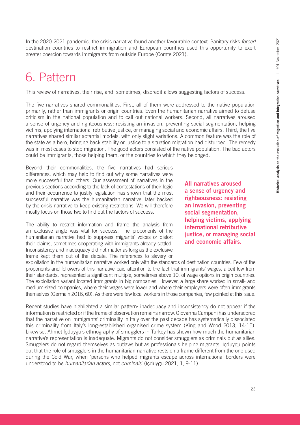In the 2020-2021 pandemic, the crisis narrative found another favourable context. Sanitary risks *forced* destination countries to restrict immigration and European countries used this opportunity to exert greater coercion towards immigrants from outside Europe (Comte 2021).

# 6. Pattern

This review of narratives, their rise, and, sometimes, discredit allows suggesting factors of success.

The five narratives shared commonalities. First, all of them were addressed to the native population primarily, rather than immigrants or origin countries. Even the humanitarian narrative aimed to defuse criticism in the national population and to call out national workers. Second, all narratives aroused a sense of urgency and righteousness: resisting an invasion, preventing social segmentation, helping victims, applying international retributive justice, or managing social and economic affairs. Third, the five narratives shared similar actantial models, with only slight variations. A common feature was the role of the state as a hero, bringing back stability or justice to a situation migration had disturbed. The remedy was in most cases to stop migration. The good actors consisted of the native population. The bad actors could be immigrants, those helping them, or the countries to which they belonged.

Beyond their commonalities, the five narratives had serious differences, which may help to find out why some narratives were more successful than others. Our assessment of narratives in the previous sections according to the lack of contestations of their logic and their occurrence to justify legislation has shown that the most successful narrative was the humanitarian narrative, later backed by the crisis narrative to keep existing restrictions. We will therefore mostly focus on those two to find out the factors of success.

The ability to restrict information and frame the analysis from an exclusive angle was vital for success. The proponents of the humanitarian narrative had to suppress migrants' voices or distort their claims, sometimes cooperating with immigrants already settled. Inconsistency and inadequacy did not matter as long as the exclusive frame kept them out of the debate. The references to slavery or

All narratives aroused a sense of urgency and righteousness: resisting an invasion, preventing social segmentation, helping victims, applying international retributive justice, or managing social and economic affairs.

exploitation in the humanitarian narrative worked only with the standards of destination countries. Few of the proponents and followers of this narrative paid attention to the fact that immigrants' wages, albeit low from their standards, represented a significant multiple, sometimes above 10, of wage options in origin countries. The exploitation variant located immigrants in big companies. However, a large share worked in small- and medium-sized companies, where their wages were lower and where their employers were often immigrants themselves (Germain 2016, 60). As there were few local workers in those companies, few pointed at this issue.

Recent studies have highlighted a similar pattern: inadequacy and inconsistency do not appear if the information is restricted or if the frame of observation remains narrow. Giovanna Campani has underscored that the narrative on immigrants' criminality in Italy over the past decade has systematically dissociated this criminality from Italy's long-established organised crime system (King and Wood 2013, 14-15). Likewise, Ahmet İçduygu's ethnography of smugglers in Turkey has shown how much the humanitarian narrative's representation is inadequate. Migrants do not consider smugglers as criminals but as allies. Smugglers do not regard themselves as outlaws but as professionals helping migrants. İçduygu points out that the role of smugglers in the humanitarian narrative rests on a frame different from the one used during the Cold War, when 'persons who helped migrants escape across international borders were understood to be *humanitarian actors*, not *criminals*' (İçduygu 2021, 1, 9-11).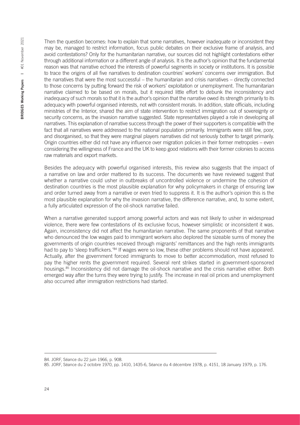2021 BRIDGES Working Papers | #01 November 2021 #01 November **BRIDGES Working Papers** |

Then the question becomes: how to explain that some narratives, however inadequate or inconsistent they may be, managed to restrict information, focus public debates on their exclusive frame of analysis, and avoid contestations? Only for the humanitarian narrative, our sources did not highlight contestations either through additional information or a different angle of analysis. It is the author's opinion that the fundamental reason was that narrative echoed the interests of powerful segments in society or institutions. It is possible to trace the origins of all five narratives to destination countries' workers' concerns over immigration. But the narratives that were the most successful – the humanitarian and crisis narratives – directly connected to those concerns by putting forward the risk of workers' exploitation or unemployment. The humanitarian narrative claimed to be based on morals, but it required little effort to debunk the inconsistency and inadequacy of such morals so that it is the author's opinion that the narrative owed its strength primarily to its adequacy with powerful organised interests, not with consistent morals. In addition, state officials, including ministries of the Interior, shared the aim of state intervention to restrict immigration out of sovereignty or security concerns, as the invasion narrative suggested. State representatives played a role in developing all narratives. This explanation of narrative success through the power of their supporters is compatible with the fact that all narratives were addressed to the national population primarily. Immigrants were still few, poor, and disorganised, so that they were marginal players narratives did not seriously bother to target primarily. Origin countries either did not have any influence over migration policies in their former metropoles – even considering the willingness of France and the UK to keep good relations with their former colonies to access raw materials and export markets.

Besides the adequacy with powerful organised interests, this review also suggests that the impact of a narrative on law and order mattered to its success. The documents we have reviewed suggest that whether a narrative could usher in outbreaks of uncontrolled violence or undermine the cohesion of destination countries is the most plausible explanation for why policymakers in charge of ensuring law and order turned away from a narrative or even tried to suppress it. It is the author's opinion this is the most plausible explanation for why the invasion narrative, the difference narrative, and, to some extent, a fully articulated expression of the oil-shock narrative failed.

When a narrative generated support among powerful actors and was not likely to usher in widespread violence, there were few contestations of its exclusive focus, however simplistic or inconsistent it was. Again, inconsistency did not affect the humanitarian narrative. The same proponents of that narrative who denounced the low wages paid to immigrant workers also deplored the sizeable sums of money the governments of origin countries received through migrants' remittances and the high rents immigrants had to pay to 'sleep traffickers.'<sup>84</sup> If wages were so low, these other problems should not have appeared. Actually, after the government forced immigrants to move to better accommodation, most refused to pay the higher rents the government required. Several rent strikes started in government-sponsored housings.<sup>85</sup> Inconsistency did not damage the oil-shock narrative and the crisis narrative either. Both emerged way after the turns they were trying to justify. The increase in real oil prices and unemployment also occurred after immigration restrictions had started.

<sup>84.</sup> JORF, Séance du 22 juin 1966, p. 908.

<sup>85.</sup> JORF, Séance du 2 octobre 1970, pp. 1410, 1435-6, Séance du 4 décembre 1978, p. 4151, 18 January 1979, p. 176.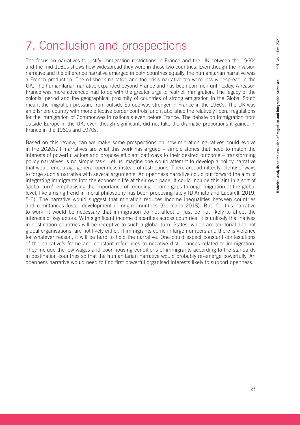# 7. Conclusion and prospections

The focus on narratives to justify immigration restrictions in France and the UK between the 1960s and the mid-1980s shows how widespread they were in those two countries. Even though the invasion narrative and the difference narrative emerged in both countries equally, the humanitarian narrative was a French production. The oil-shock narrative and the crisis narrative too were less widespread in the UK. The humanitarian narrative expanded beyond France and has been common until today. A reason France was more advanced had to do with the greater urge to restrict immigration. The legacy of the colonial period and the geographical proximity of countries of strong emigration in the Global South meant the migration pressure from outside Europe was stronger in France in the 1960s. The UK was an offshore country with more effective border controls, and it abolished the relatively liberal regulations for the immigration of Commonwealth nationals even before France. The debate on immigration from outside Europe in the UK, even though significant, did not take the dramatic proportions it gained in France in the 1960s and 1970s.

Based on this review, can we make some prospections on how migration narratives could evolve in the 2020s? If narratives are what this work has argued – simple stories that need to match the interests of powerful actors and propose efficient pathways to their desired outcome – transforming policy narratives is no simple task. Let us imagine one would attempt to develop a policy narrative that would encourage general openness instead of restrictions. There are, admittedly, plenty of ways to forge such a narrative with several arguments. An openness narrative could put forward the aim of integrating immigrants into the economic life at their own pace. It could include this aim in a sort of 'global turn', emphasising the importance of reducing income gaps through migration at the global level, like a rising trend in moral philosophy has been proposing lately (D'Amato and Lucarelli 2019, 5-6). The narrative would suggest that migration reduces income inequalities between countries and remittances foster development in origin countries (Germano 2018). But, for this narrative to work, it would be necessary that immigration do not affect or just be not likely to affect the interests of key actors. With significant income disparities across countries, it is unlikely that natives in destination countries will be receptive to such a global turn. States, which are territorial and not global organisations, are not likely either. If immigrants come in large numbers and there is violence for whatever reason, it will be hard to hold the narrative. One could expect constant contestations of the narrative's frame and constant references to negative disturbances related to immigration. They include the low wages and poor housing conditions of immigrants according to the standards in destination countries so that the humanitarian narrative would probably re-emerge powerfully. An openness narrative would need to find first powerful organised interests likely to support openness.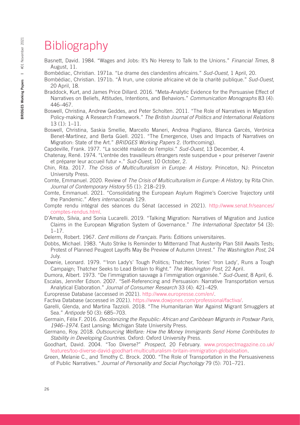# **Bibliography**

Basnett, David. 1984. "Wages and Jobs: It's No Heresy to Talk to the Unions." *Financial Times*, 8 August, 11.

Bombédiac, Christian. 1971a. "Le drame des clandestins africains." *Sud-Ouest*, 1 April, 20.

- Bombédiac, Christian. 1971b. "À Irun, une colonie africaine vit de la charité publique." *Sud-Ouest*, 20 April, 18.
- Braddock, Kurt, and James Price Dillard. 2016. "Meta-Analytic Evidence for the Persuasive Effect of Narratives on Beliefs, Attitudes, Intentions, and Behaviors." *Communication Monographs* 83 (4): 446–467.

Boswell, Christina, Andrew Geddes, and Peter Scholten. 2011. "The Role of Narratives in Migration Policy-making: A Research Framework." *The British Journal of Politics and International Relations* 13 (1): 1–11.

Boswell, Christina, Saskia Smellie, Marcello Maneri, Andrea Pogliano, Blanca Garcés, Verónica Benet-Martínez, and Berta Güell. 2021. "The Emergence, Uses and Impacts of Narratives on Migration: State of the Art." *BRIDGES Working Papers* 2. (forthcoming).

Capdeville, Frank. 1977. "La société malade de l'emploi." *Sud-Ouest*, 13 December, 4.

Chatenay, René. 1974. "L'entrée des travailleurs étrangers reste suspendue « pour préserver l'avenir et préparer leur accueil futur »." *Sud-Ouest*, 10 October, 2.

Chin, Rita. 2017. *The Crisis of Multiculturalism in Europe: A History*. Princeton, NJ: Princeton University Press.

Comte, Emmanuel. 2020. Review of *The Crisis of Multiculturalism in Europe: A History*, by Rita Chin. *Journal of Contemporary History* 55 (1): 218–219.

Comte, Emmanuel. 2021. "Consolidating the European Asylum Regime's Coercive Trajectory until the Pandemic." *Afers internacionals* 129.

Compte rendu intégral des séances du Sénat (accessed in 2021). [http://www.senat.fr/seances/](http://www.senat.fr/seances/comptes-rendus.html) [comptes-rendus.html](http://www.senat.fr/seances/comptes-rendus.html).

D'Amato, Silvia, and Sonia Lucarelli. 2019. "Talking Migration: Narratives of Migration and Justice Claims in the European Migration System of Governance." *The International Spectator* 54 (3): 1–17.

Delerm, Robert. 1967. *Cent millions de Français*. Paris: Éditions universitaires.

Dobbs, Michael. 1983. "Auto Strike Is Reminder to Mitterrand That Austerity Plan Still Awaits Tests; Protest of Planned Peugeot Layoffs May Be Preview of Autumn Unrest." *The Washington Post*, 24 July.

Downie, Leonard. 1979. "'Iron Lady's' Tough Politics; Thatcher, Tories' 'Iron Lady', Runs a Tough Campaign; Thatcher Seeks to Lead Britain to Right." *The Washington Post*, 22 April.

Dumora, Albert. 1973. "De l'immigration sauvage à l'immigration organisée." *Sud-Ouest*, 8 April, 6. Escalas, Jennifer Edson. 2007. "Self-Referencing and Persuasion: Narrative Transportation versus

Analytical Elaboration." *Journal of Consumer Research* 33 (4): 421–429.

Europresse Database (accessed in 2021). [http://www.europresse.com/en/.](http://www.europresse.com/en/)

Factiva Database (accessed in 2021). [https://www.dowjones.com/professional/factiva/.](https://www.dowjones.com/professional/factiva/)

Garelli, Glenda, and Martina Tazzioli. 2018. "The Humanitarian War Against Migrant Smugglers at Sea." *Antipode* 50 (3): 685–703.

Germain, Félix F. 2016. *Decolonizing the Republic: African and Caribbean Migrants in Postwar Paris, 1946–1974*. East Lansing: Michigan State University Press.

Germano, Roy. 2018. *Outsourcing Welfare: How the Money Immigrants Send Home Contributes to Stability in Developing Countries*. Oxford: Oxford University Press.

Goodhart, David. 2004. "Too Diverse?" *Prospect*, 20 February. [www.prospectmagazine.co.uk/](http://www.prospectmagazine.co.uk/features/too-diverse-david-goodhart-multiculturalism-britain-immigration-globalisation) [features/too-diverse-david-goodhart-multiculturalism-britain-immigration-globalisation](http://www.prospectmagazine.co.uk/features/too-diverse-david-goodhart-multiculturalism-britain-immigration-globalisation).

Green, Melanie C., and Timothy C. Brock. 2000. "The Role of Transportation in the Persuasiveness of Public Narratives." *Journal of Personality and Social Psychology* 79 (5): 701–721.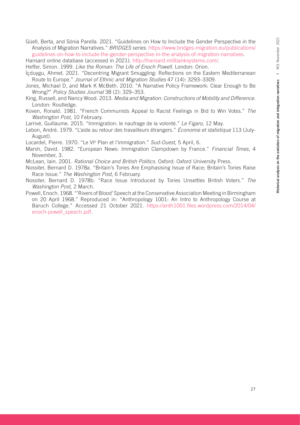Güell, Berta, and Sònia Parella. 2021. "Guidelines on How to Include the Gender Perspective in the Analysis of Migration Narratives." *BRIDGES series*. [https://www.bridges-migration.eu/publications/](https://www.bridges-migration.eu/publications/guidelines-on-how-to-include-the-gender-perspective-in-the-analysis-of-migration-narratives) [guidelines-on-how-to-include-the-gender-perspective-in-the-analysis-of-migration-narratives](https://www.bridges-migration.eu/publications/guidelines-on-how-to-include-the-gender-perspective-in-the-analysis-of-migration-narratives).

Hansard online database (accessed in 2021). [http://hansard.millbanksystems.com/.](http://hansard.millbanksystems.com/)

- Heffer, Simon. 1999. *Like the Roman: The Life of Enoch Powell*. London: Orion.
- İçduygu, Ahmet. 2021. "Decentring Migrant Smuggling: Reflections on the Eastern Mediterranean Route to Europe." *Journal of Ethnic and Migration Studies* 47 (14): 3293–3309.
- Jones, Michael D, and Mark K McBeth. 2010. "A Narrative Policy Framework: Clear Enough to Be Wrong?" *Policy Studies Journal* 38 (2): 329–353.
- King, Russell, and Nancy Wood. 2013. *Media and Migration: Constructions of Mobility and Difference*. London: Routledge.
- Koven, Ronald. 1981. "French Communists Appeal to Racist Feelings in Bid to Win Votes." *The Washington Post*, 10 February.
- Larrivé, Guillaume. 2015. "Immigration: le naufrage de la volonté." *Le Figaro*, 12 May.
- Lebon, André. 1979. "L'aide au retour des travailleurs étrangers." *Économie et statistique* 113 (July-August).
- Locardel, Pierre. 1970. "Le VI<sup>e</sup> Plan et l'immigration." Sud-Ouest, 5 April, 6.
- Marsh, David. 1982. "European News: Immigration Clampdown by France." *Financial Times*, 4 November, 3.
- McLean, Iain. 2001. *Rational Choice and British Politics*. Oxford: Oxford University Press.
- Nossiter, Bernard D. 1978a. "Britain's Tories Are Emphasising Issue of Race; Britain's Tories Raise Race Issue." *The Washington Post*, 6 February.
- Nossiter, Bernard D. 1978b. "Race Issue Introduced by Tories Unsettles British Voters." *The Washington Post*, 2 March.
- Powell, Enoch. 1968. "'Rivers of Blood' Speech at the Conservative Association Meeting in Birmingham on 20 April 1968." Reproduced in: "Anthropology 1001: An Intro to Anthropology Course at Baruch College." Accessed 21 October 2021. [https://anth1001.files.wordpress.com/2014/04/](https://anth1001.files.wordpress.com/2014/04/enoch-powell_speech.pdf) [enoch-powell\\_speech.pdf.](https://anth1001.files.wordpress.com/2014/04/enoch-powell_speech.pdf)